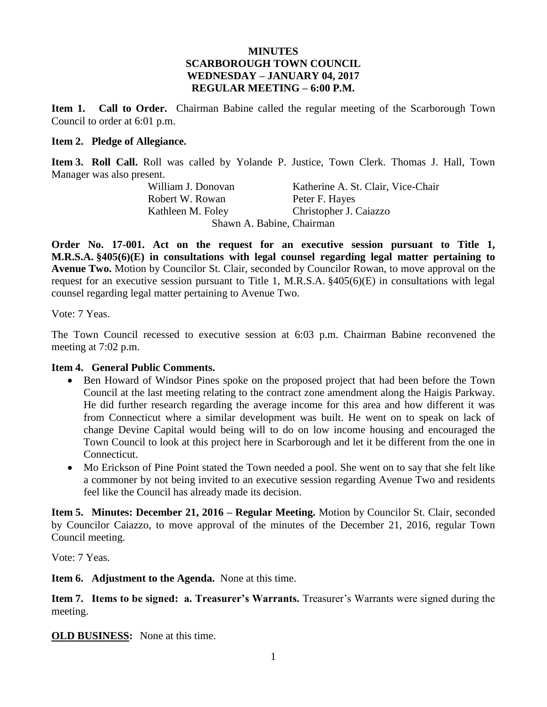## **MINUTES SCARBOROUGH TOWN COUNCIL WEDNESDAY – JANUARY 04, 2017 REGULAR MEETING – 6:00 P.M.**

**Item 1. Call to Order.** Chairman Babine called the regular meeting of the Scarborough Town Council to order at 6:01 p.m.

### **Item 2. Pledge of Allegiance.**

**Item 3. Roll Call.** Roll was called by Yolande P. Justice, Town Clerk. Thomas J. Hall, Town Manager was also present.

Robert W. Rowan Peter F. Hayes

William J. Donovan Katherine A. St. Clair, Vice-Chair Kathleen M. Foley Christopher J. Caiazzo Shawn A. Babine, Chairman

**Order No. 17-001. Act on the request for an executive session pursuant to Title 1, M.R.S.A. §405(6)(E) in consultations with legal counsel regarding legal matter pertaining to Avenue Two.** Motion by Councilor St. Clair, seconded by Councilor Rowan, to move approval on the request for an executive session pursuant to Title 1, M.R.S.A. §405(6)(E) in consultations with legal counsel regarding legal matter pertaining to Avenue Two.

Vote: 7 Yeas.

The Town Council recessed to executive session at 6:03 p.m. Chairman Babine reconvened the meeting at 7:02 p.m.

## **Item 4. General Public Comments.**

- Ben Howard of Windsor Pines spoke on the proposed project that had been before the Town Council at the last meeting relating to the contract zone amendment along the Haigis Parkway. He did further research regarding the average income for this area and how different it was from Connecticut where a similar development was built. He went on to speak on lack of change Devine Capital would being will to do on low income housing and encouraged the Town Council to look at this project here in Scarborough and let it be different from the one in Connecticut.
- Mo Erickson of Pine Point stated the Town needed a pool. She went on to say that she felt like a commoner by not being invited to an executive session regarding Avenue Two and residents feel like the Council has already made its decision.

**Item 5. Minutes: December 21, 2016 – Regular Meeting.** Motion by Councilor St. Clair, seconded by Councilor Caiazzo, to move approval of the minutes of the December 21, 2016, regular Town Council meeting.

Vote: 7 Yeas.

**Item 6. Adjustment to the Agenda.** None at this time.

**Item 7. Items to be signed: a. Treasurer's Warrants.** Treasurer's Warrants were signed during the meeting.

**OLD BUSINESS:** None at this time.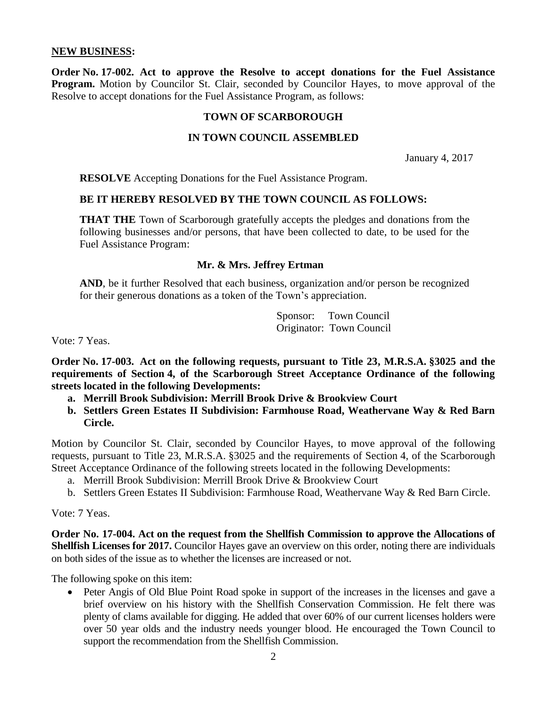### **NEW BUSINESS:**

**Order No. 17-002. Act to approve the Resolve to accept donations for the Fuel Assistance Program.** Motion by Councilor St. Clair, seconded by Councilor Hayes, to move approval of the Resolve to accept donations for the Fuel Assistance Program, as follows:

#### **TOWN OF SCARBOROUGH**

### **IN TOWN COUNCIL ASSEMBLED**

January 4, 2017

**RESOLVE** Accepting Donations for the Fuel Assistance Program.

#### **BE IT HEREBY RESOLVED BY THE TOWN COUNCIL AS FOLLOWS:**

**THAT THE** Town of Scarborough gratefully accepts the pledges and donations from the following businesses and/or persons, that have been collected to date, to be used for the Fuel Assistance Program:

## **Mr. & Mrs. Jeffrey Ertman**

**AND**, be it further Resolved that each business, organization and/or person be recognized for their generous donations as a token of the Town's appreciation.

> Sponsor: Town Council Originator: Town Council

Vote: 7 Yeas.

**Order No. 17-003. Act on the following requests, pursuant to Title 23, M.R.S.A. §3025 and the requirements of Section 4, of the Scarborough Street Acceptance Ordinance of the following streets located in the following Developments:**

- **a. Merrill Brook Subdivision: Merrill Brook Drive & Brookview Court**
- **b. Settlers Green Estates II Subdivision: Farmhouse Road, Weathervane Way & Red Barn Circle.**

Motion by Councilor St. Clair, seconded by Councilor Hayes, to move approval of the following requests, pursuant to Title 23, M.R.S.A. §3025 and the requirements of Section 4, of the Scarborough Street Acceptance Ordinance of the following streets located in the following Developments:

- a. Merrill Brook Subdivision: Merrill Brook Drive & Brookview Court
- b. Settlers Green Estates II Subdivision: Farmhouse Road, Weathervane Way & Red Barn Circle.

Vote: 7 Yeas.

**Order No. 17-004. Act on the request from the Shellfish Commission to approve the Allocations of Shellfish Licenses for 2017.** Councilor Hayes gave an overview on this order, noting there are individuals on both sides of the issue as to whether the licenses are increased or not.

The following spoke on this item:

• Peter Angis of Old Blue Point Road spoke in support of the increases in the licenses and gave a brief overview on his history with the Shellfish Conservation Commission. He felt there was plenty of clams available for digging. He added that over 60% of our current licenses holders were over 50 year olds and the industry needs younger blood. He encouraged the Town Council to support the recommendation from the Shellfish Commission.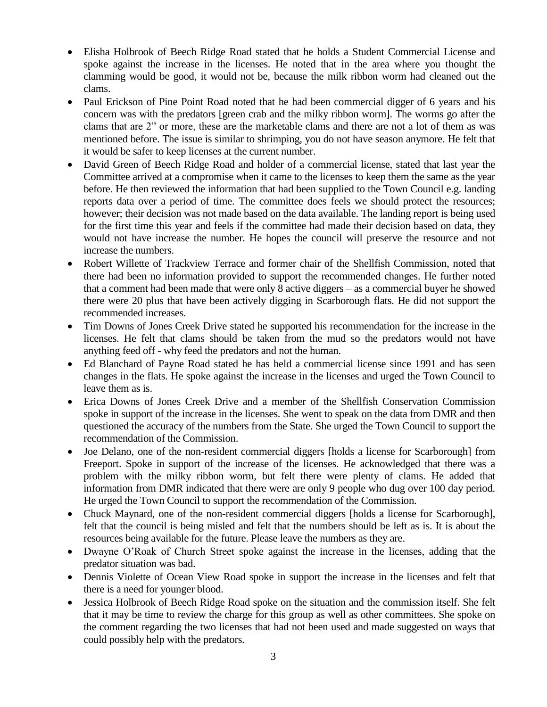- Elisha Holbrook of Beech Ridge Road stated that he holds a Student Commercial License and spoke against the increase in the licenses. He noted that in the area where you thought the clamming would be good, it would not be, because the milk ribbon worm had cleaned out the clams.
- Paul Erickson of Pine Point Road noted that he had been commercial digger of 6 years and his concern was with the predators [green crab and the milky ribbon worm]. The worms go after the clams that are 2" or more, these are the marketable clams and there are not a lot of them as was mentioned before. The issue is similar to shrimping, you do not have season anymore. He felt that it would be safer to keep licenses at the current number.
- David Green of Beech Ridge Road and holder of a commercial license, stated that last year the Committee arrived at a compromise when it came to the licenses to keep them the same as the year before. He then reviewed the information that had been supplied to the Town Council e.g. landing reports data over a period of time. The committee does feels we should protect the resources; however; their decision was not made based on the data available. The landing report is being used for the first time this year and feels if the committee had made their decision based on data, they would not have increase the number. He hopes the council will preserve the resource and not increase the numbers.
- Robert Willette of Trackview Terrace and former chair of the Shellfish Commission, noted that there had been no information provided to support the recommended changes. He further noted that a comment had been made that were only 8 active diggers – as a commercial buyer he showed there were 20 plus that have been actively digging in Scarborough flats. He did not support the recommended increases.
- Tim Downs of Jones Creek Drive stated he supported his recommendation for the increase in the licenses. He felt that clams should be taken from the mud so the predators would not have anything feed off - why feed the predators and not the human.
- Ed Blanchard of Payne Road stated he has held a commercial license since 1991 and has seen changes in the flats. He spoke against the increase in the licenses and urged the Town Council to leave them as is.
- Erica Downs of Jones Creek Drive and a member of the Shellfish Conservation Commission spoke in support of the increase in the licenses. She went to speak on the data from DMR and then questioned the accuracy of the numbers from the State. She urged the Town Council to support the recommendation of the Commission.
- Joe Delano, one of the non-resident commercial diggers [holds a license for Scarborough] from Freeport. Spoke in support of the increase of the licenses. He acknowledged that there was a problem with the milky ribbon worm, but felt there were plenty of clams. He added that information from DMR indicated that there were are only 9 people who dug over 100 day period. He urged the Town Council to support the recommendation of the Commission.
- Chuck Maynard, one of the non-resident commercial diggers [holds a license for Scarborough], felt that the council is being misled and felt that the numbers should be left as is. It is about the resources being available for the future. Please leave the numbers as they are.
- Dwayne O'Roak of Church Street spoke against the increase in the licenses, adding that the predator situation was bad.
- Dennis Violette of Ocean View Road spoke in support the increase in the licenses and felt that there is a need for younger blood.
- Jessica Holbrook of Beech Ridge Road spoke on the situation and the commission itself. She felt that it may be time to review the charge for this group as well as other committees. She spoke on the comment regarding the two licenses that had not been used and made suggested on ways that could possibly help with the predators.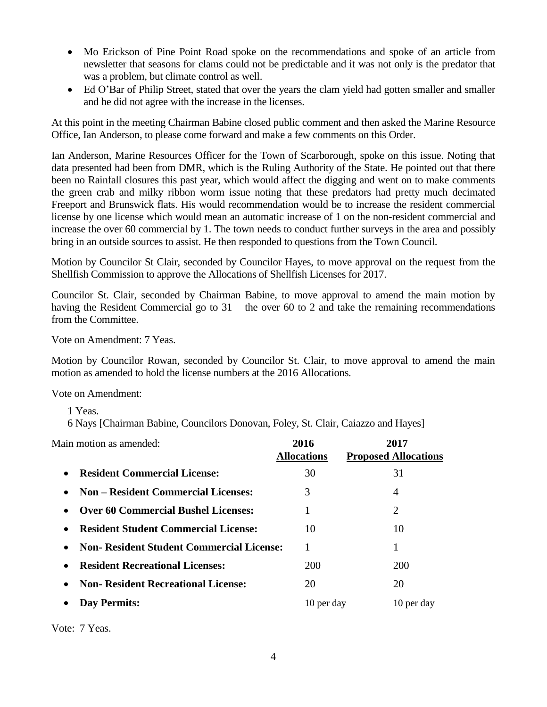- Mo Erickson of Pine Point Road spoke on the recommendations and spoke of an article from newsletter that seasons for clams could not be predictable and it was not only is the predator that was a problem, but climate control as well.
- Ed O'Bar of Philip Street, stated that over the years the clam yield had gotten smaller and smaller and he did not agree with the increase in the licenses.

At this point in the meeting Chairman Babine closed public comment and then asked the Marine Resource Office, Ian Anderson, to please come forward and make a few comments on this Order.

Ian Anderson, Marine Resources Officer for the Town of Scarborough, spoke on this issue. Noting that data presented had been from DMR, which is the Ruling Authority of the State. He pointed out that there been no Rainfall closures this past year, which would affect the digging and went on to make comments the green crab and milky ribbon worm issue noting that these predators had pretty much decimated Freeport and Brunswick flats. His would recommendation would be to increase the resident commercial license by one license which would mean an automatic increase of 1 on the non-resident commercial and increase the over 60 commercial by 1. The town needs to conduct further surveys in the area and possibly bring in an outside sources to assist. He then responded to questions from the Town Council.

Motion by Councilor St Clair, seconded by Councilor Hayes, to move approval on the request from the Shellfish Commission to approve the Allocations of Shellfish Licenses for 2017.

Councilor St. Clair, seconded by Chairman Babine, to move approval to amend the main motion by having the Resident Commercial go to 31 – the over 60 to 2 and take the remaining recommendations from the Committee.

Vote on Amendment: 7 Yeas.

Motion by Councilor Rowan, seconded by Councilor St. Clair, to move approval to amend the main motion as amended to hold the license numbers at the 2016 Allocations.

Vote on Amendment:

1 Yeas.

6 Nays [Chairman Babine, Councilors Donovan, Foley, St. Clair, Caiazzo and Hayes]

Main motion as amended: **2016 2017 Allocations Proposed Allocations Resident Commercial License:** 30 31 31 **Non – Resident Commercial Licenses:** 3 4 **Over 60 Commercial Bushel Licenses:** 1 2 **Resident Student Commercial License:**  $10$  10 10 **Non- Resident Student Commercial License:** 1 1 **Resident Recreational Licenses:** 200 200 **Non- Resident Recreational License:** 20 20 20 • Day Permits: 10 per day 10 per day 10 per day

Vote: 7 Yeas.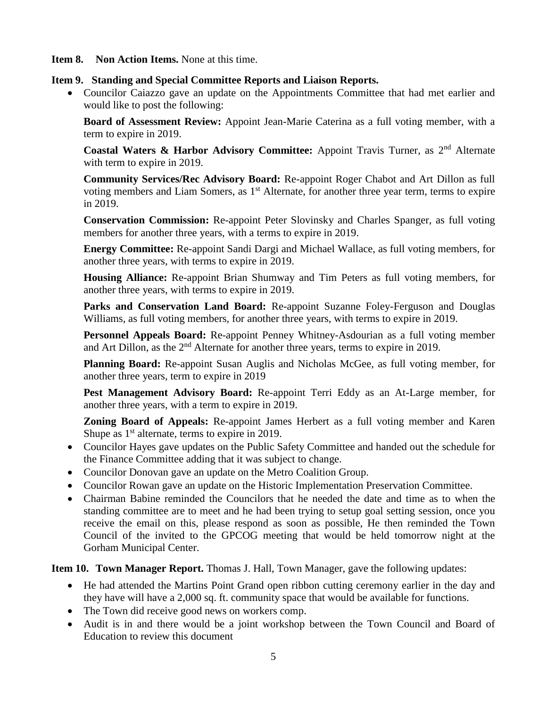**Item 8. Non Action Items.** None at this time.

### **Item 9. Standing and Special Committee Reports and Liaison Reports.**

 Councilor Caiazzo gave an update on the Appointments Committee that had met earlier and would like to post the following:

**Board of Assessment Review:** Appoint Jean-Marie Caterina as a full voting member, with a term to expire in 2019.

**Coastal Waters & Harbor Advisory Committee:** Appoint Travis Turner, as 2nd Alternate with term to expire in 2019.

**Community Services/Rec Advisory Board:** Re-appoint Roger Chabot and Art Dillon as full voting members and Liam Somers, as  $1<sup>st</sup>$  Alternate, for another three year term, terms to expire in 2019.

**Conservation Commission:** Re-appoint Peter Slovinsky and Charles Spanger, as full voting members for another three years, with a terms to expire in 2019.

**Energy Committee:** Re-appoint Sandi Dargi and Michael Wallace, as full voting members, for another three years, with terms to expire in 2019.

**Housing Alliance:** Re-appoint Brian Shumway and Tim Peters as full voting members, for another three years, with terms to expire in 2019.

**Parks and Conservation Land Board:** Re-appoint Suzanne Foley-Ferguson and Douglas Williams, as full voting members, for another three years, with terms to expire in 2019.

**Personnel Appeals Board:** Re-appoint Penney Whitney-Asdourian as a full voting member and Art Dillon, as the  $2<sup>nd</sup>$  Alternate for another three years, terms to expire in 2019.

**Planning Board:** Re-appoint Susan Auglis and Nicholas McGee, as full voting member, for another three years, term to expire in 2019

**Pest Management Advisory Board:** Re-appoint Terri Eddy as an At-Large member, for another three years, with a term to expire in 2019.

**Zoning Board of Appeals:** Re-appoint James Herbert as a full voting member and Karen Shupe as  $1<sup>st</sup>$  alternate, terms to expire in 2019.

- Councilor Hayes gave updates on the Public Safety Committee and handed out the schedule for the Finance Committee adding that it was subject to change.
- Councilor Donovan gave an update on the Metro Coalition Group.
- Councilor Rowan gave an update on the Historic Implementation Preservation Committee.
- Chairman Babine reminded the Councilors that he needed the date and time as to when the standing committee are to meet and he had been trying to setup goal setting session, once you receive the email on this, please respond as soon as possible, He then reminded the Town Council of the invited to the GPCOG meeting that would be held tomorrow night at the Gorham Municipal Center.

**Item 10. Town Manager Report.** Thomas J. Hall, Town Manager, gave the following updates:

- He had attended the Martins Point Grand open ribbon cutting ceremony earlier in the day and they have will have a 2,000 sq. ft. community space that would be available for functions.
- The Town did receive good news on workers comp.
- Audit is in and there would be a joint workshop between the Town Council and Board of Education to review this document